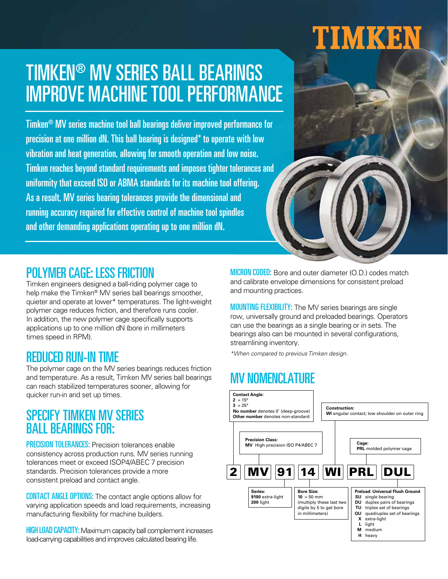# TIMKEN

### TIMKEN® MV SERIES BALL BEARINGS IMPROVE MACHINE TOOL PERFORMANCE

**Top Performance, Longer Cooler Running accuracy required for effective control of machine tool spindles Apple 1** Timken® MV series machine tool ball bearings deliver improved performance for precision at one million dN. This ball bearing is designed\* to operate with low vibration and heat generation, allowing for smooth operation and low noise. Timken reaches beyond standard requirements and imposes tighter tolerances and uniformity that exceed ISO or ABMA standards for its machine tool offering. As a result, MV series bearing tolerances provide the dimensional and and other demanding applications operating up to one million dN.



#### POLYMER CAGE: LESS FRICTION

Timken engineers designed a ball-riding polymer cage to help make the Timken® MV series ball bearings smoother, quieter and operate at lower\* temperatures. The light-weight polymer cage reduces friction, and therefore runs cooler. In addition, the new polymer cage specifically supports applications up to one million dN (bore in millimeters times speed in RPM).

#### REDUCED RUN-IN TIME

The polymer cage on the MV series bearings reduces friction and temperature. As a result, Timken MV series ball bearings can reach stabilized temperatures sooner, allowing for quicker run-in and set up times.

#### SPECIFY TIMKEN MV SERIES BALL BEARINGS FOR:

**PRECISION TOLERANCES:** Precision tolerances enable consistency across production runs. MV series running tolerances meet or exceed ISOP4/ABEC 7 precision standards. Precision tolerances provide a more consistent preload and contact angle.

CONTACT ANGLE OPTIONS: The contact angle options allow for varying application speeds and load requirements, increasing manufacturing flexibility for machine builders.

**HIGH LOAD CAPACITY:** Maximum capacity ball complement increases load-carrying capabilities and improves calculated bearing life.

MICRON CODED: Bore and outer diameter (O.D.) codes match and calibrate envelope dimensions for consistent preload and mounting practices.

MOUNTING FLEXIBILITY: The MV series bearings are single row, universally ground and preloaded bearings. Operators can use the bearings as a single bearing or in sets. The bearings also can be mounted in several configurations, streamlining inventory.

\*When compared to previous Timken design.

### **MV NOMENCLATURE**